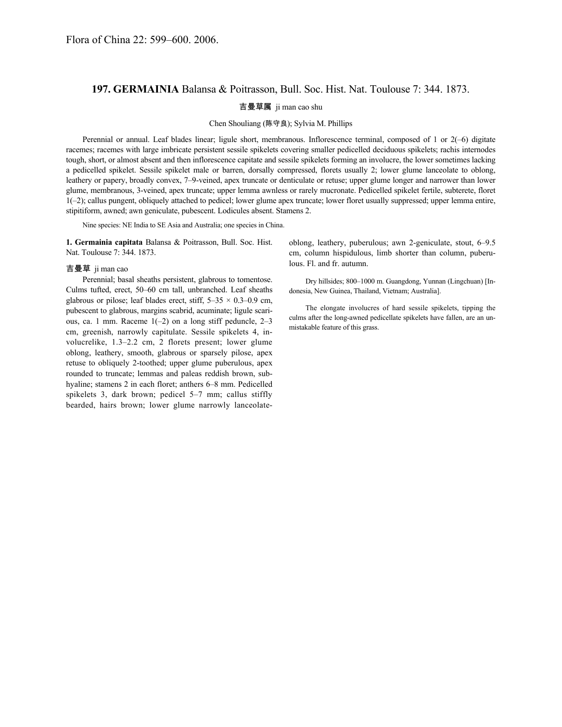## **197. GERMAINIA** Balansa & Poitrasson, Bull. Soc. Hist. Nat. Toulouse 7: 344. 1873.

## 吉曼草属 ji man cao shu

## Chen Shouliang (陈守良); Sylvia M. Phillips

Perennial or annual. Leaf blades linear; ligule short, membranous. Inflorescence terminal, composed of 1 or 2(–6) digitate racemes; racemes with large imbricate persistent sessile spikelets covering smaller pedicelled deciduous spikelets; rachis internodes tough, short, or almost absent and then inflorescence capitate and sessile spikelets forming an involucre, the lower sometimes lacking a pedicelled spikelet. Sessile spikelet male or barren, dorsally compressed, florets usually 2; lower glume lanceolate to oblong, leathery or papery, broadly convex, 7–9-veined, apex truncate or denticulate or retuse; upper glume longer and narrower than lower glume, membranous, 3-veined, apex truncate; upper lemma awnless or rarely mucronate. Pedicelled spikelet fertile, subterete, floret 1(–2); callus pungent, obliquely attached to pedicel; lower glume apex truncate; lower floret usually suppressed; upper lemma entire, stipitiform, awned; awn geniculate, pubescent. Lodicules absent. Stamens 2.

Nine species: NE India to SE Asia and Australia; one species in China.

**1. Germainia capitata** Balansa & Poitrasson, Bull. Soc. Hist. Nat. Toulouse 7: 344. 1873.

## 吉曼草 ji man cao

Perennial; basal sheaths persistent, glabrous to tomentose. Culms tufted, erect, 50–60 cm tall, unbranched. Leaf sheaths glabrous or pilose; leaf blades erect, stiff,  $5-35 \times 0.3-0.9$  cm, pubescent to glabrous, margins scabrid, acuminate; ligule scarious, ca. 1 mm. Raceme  $1(-2)$  on a long stiff peduncle,  $2-3$ cm, greenish, narrowly capitulate. Sessile spikelets 4, involucrelike, 1.3–2.2 cm, 2 florets present; lower glume oblong, leathery, smooth, glabrous or sparsely pilose, apex retuse to obliquely 2-toothed; upper glume puberulous, apex rounded to truncate; lemmas and paleas reddish brown, subhyaline; stamens 2 in each floret; anthers 6–8 mm. Pedicelled spikelets 3, dark brown; pedicel 5–7 mm; callus stiffly bearded, hairs brown; lower glume narrowly lanceolateoblong, leathery, puberulous; awn 2-geniculate, stout, 6–9.5 cm, column hispidulous, limb shorter than column, puberulous. Fl. and fr. autumn.

Dry hillsides; 800–1000 m. Guangdong, Yunnan (Lingchuan) [Indonesia, New Guinea, Thailand, Vietnam; Australia].

The elongate involucres of hard sessile spikelets, tipping the culms after the long-awned pedicellate spikelets have fallen, are an unmistakable feature of this grass.